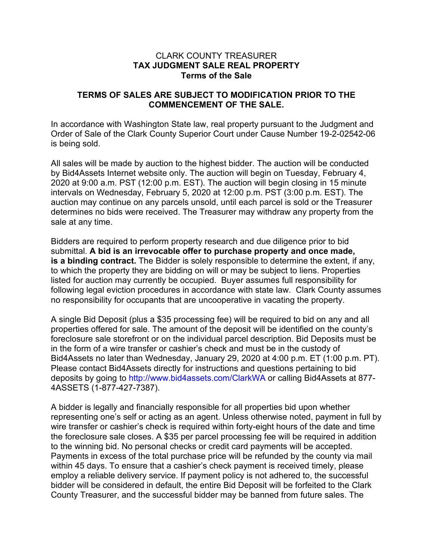#### CLARK COUNTY TREASURER **TAX JUDGMENT SALE REAL PROPERTY Terms of the Sale**

## **TERMS OF SALES ARE SUBJECT TO MODIFICATION PRIOR TO THE COMMENCEMENT OF THE SALE.**

In accordance with Washington State law, real property pursuant to the Judgment and Order of Sale of the Clark County Superior Court under Cause Number 19-2-02542-06 is being sold.

All sales will be made by auction to the highest bidder. The auction will be conducted by Bid4Assets Internet website only. The auction will begin on Tuesday, February 4, 2020 at 9:00 a.m. PST (12:00 p.m. EST). The auction will begin closing in 15 minute intervals on Wednesday, February 5, 2020 at 12:00 p.m. PST (3:00 p.m. EST). The auction may continue on any parcels unsold, until each parcel is sold or the Treasurer determines no bids were received. The Treasurer may withdraw any property from the sale at any time.

Bidders are required to perform property research and due diligence prior to bid submittal. **A bid is an irrevocable offer to purchase property and once made, is a binding contract.** The Bidder is solely responsible to determine the extent, if any, to which the property they are bidding on will or may be subject to liens. Properties listed for auction may currently be occupied. Buyer assumes full responsibility for following legal eviction procedures in accordance with state law. Clark County assumes no responsibility for occupants that are uncooperative in vacating the property.

A single Bid Deposit (plus a \$35 processing fee) will be required to bid on any and all properties offered for sale. The amount of the deposit will be identified on the county's foreclosure sale storefront or on the individual parcel description. Bid Deposits must be in the form of a wire transfer or cashier's check and must be in the custody of Bid4Assets no later than Wednesday, January 29, 2020 at 4:00 p.m. ET (1:00 p.m. PT). Please contact Bid4Assets directly for instructions and questions pertaining to bid deposits by going to http://www.bid4assets.com/ClarkWA or calling Bid4Assets at 877- 4ASSETS (1-877-427-7387).

A bidder is legally and financially responsible for all properties bid upon whether representing one's self or acting as an agent. Unless otherwise noted, payment in full by wire transfer or cashier's check is required within forty-eight hours of the date and time the foreclosure sale closes. A \$35 per parcel processing fee will be required in addition to the winning bid. No personal checks or credit card payments will be accepted. Payments in excess of the total purchase price will be refunded by the county via mail within 45 days. To ensure that a cashier's check payment is received timely, please employ a reliable delivery service. If payment policy is not adhered to, the successful bidder will be considered in default, the entire Bid Deposit will be forfeited to the Clark County Treasurer, and the successful bidder may be banned from future sales. The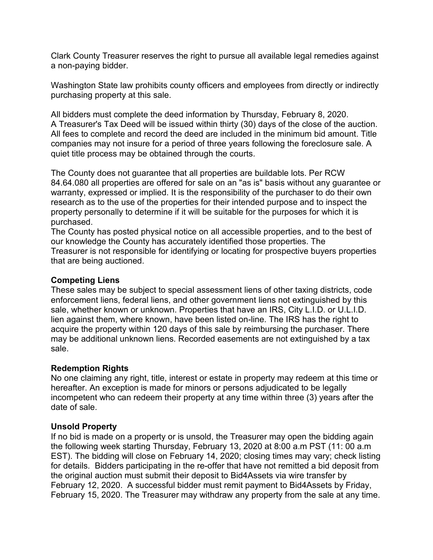Clark County Treasurer reserves the right to pursue all available legal remedies against a non-paying bidder.

Washington State law prohibits county officers and employees from directly or indirectly purchasing property at this sale.

All bidders must complete the deed information by Thursday, February 8, 2020. A Treasurer's Tax Deed will be issued within thirty (30) days of the close of the auction. All fees to complete and record the deed are included in the minimum bid amount. Title companies may not insure for a period of three years following the foreclosure sale. A quiet title process may be obtained through the courts.

The County does not guarantee that all properties are buildable lots. Per RCW 84.64.080 all properties are offered for sale on an "as is" basis without any guarantee or warranty, expressed or implied. It is the responsibility of the purchaser to do their own research as to the use of the properties for their intended purpose and to inspect the property personally to determine if it will be suitable for the purposes for which it is purchased.

The County has posted physical notice on all accessible properties, and to the best of our knowledge the County has accurately identified those properties. The Treasurer is not responsible for identifying or locating for prospective buyers properties that are being auctioned.

## **Competing Liens**

These sales may be subject to special assessment liens of other taxing districts, code enforcement liens, federal liens, and other government liens not extinguished by this sale, whether known or unknown. Properties that have an IRS, City L.I.D. or U.L.I.D. lien against them, where known, have been listed on-line. The IRS has the right to acquire the property within 120 days of this sale by reimbursing the purchaser. There may be additional unknown liens. Recorded easements are not extinguished by a tax sale.

## **Redemption Rights**

No one claiming any right, title, interest or estate in property may redeem at this time or hereafter. An exception is made for minors or persons adjudicated to be legally incompetent who can redeem their property at any time within three (3) years after the date of sale.

## **Unsold Property**

If no bid is made on a property or is unsold, the Treasurer may open the bidding again the following week starting Thursday, February 13, 2020 at 8:00 a.m PST (11: 00 a.m EST). The bidding will close on February 14, 2020; closing times may vary; check listing for details. Bidders participating in the re-offer that have not remitted a bid deposit from the original auction must submit their deposit to Bid4Assets via wire transfer by February 12, 2020. A successful bidder must remit payment to Bid4Assets by Friday, February 15, 2020. The Treasurer may withdraw any property from the sale at any time.